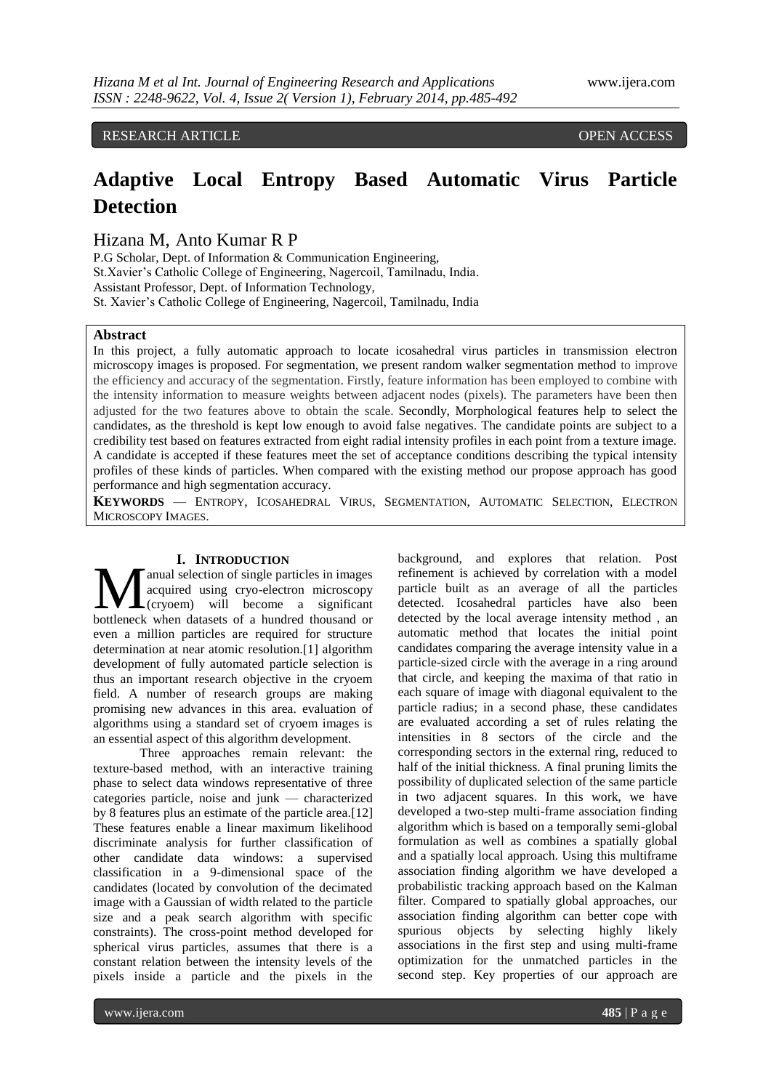RESEARCH ARTICLE OPEN ACCESS

# **Adaptive Local Entropy Based Automatic Virus Particle Detection**

Hizana M, Anto Kumar R P

P.G Scholar, Dept. of Information & Communication Engineering, St.Xavier's Catholic College of Engineering, Nagercoil, Tamilnadu, India. Assistant Professor, Dept. of Information Technology, St. Xavier's Catholic College of Engineering, Nagercoil, Tamilnadu, India

# **Abstract**

In this project, a fully automatic approach to locate icosahedral virus particles in transmission electron microscopy images is proposed. For segmentation, we present random walker segmentation method to improve the efficiency and accuracy of the segmentation. Firstly, feature information has been employed to combine with the intensity information to measure weights between adjacent nodes (pixels). The parameters have been then adjusted for the two features above to obtain the scale. Secondly, Morphological features help to select the candidates, as the threshold is kept low enough to avoid false negatives. The candidate points are subject to a credibility test based on features extracted from eight radial intensity profiles in each point from a texture image. A candidate is accepted if these features meet the set of acceptance conditions describing the typical intensity profiles of these kinds of particles. When compared with the existing method our propose approach has good performance and high segmentation accuracy.

**KEYWORDS** — ENTROPY, ICOSAHEDRAL VIRUS, SEGMENTATION, AUTOMATIC SELECTION, ELECTRON MICROSCOPY IMAGES.

## **I. INTRODUCTION**

anual selection of single particles in images acquired using cryo-electron microscopy (cryoem) will become a significant **bothermul selection** of single particles in images<br>acquired using cryo-electron microscopy<br>bottleneck when datasets of a hundred thousand or even a million particles are required for structure determination at near atomic resolution.[1] algorithm development of fully automated particle selection is thus an important research objective in the cryoem field. A number of research groups are making promising new advances in this area. evaluation of algorithms using a standard set of cryoem images is an essential aspect of this algorithm development.

Three approaches remain relevant: the texture-based method, with an interactive training phase to select data windows representative of three categories particle, noise and junk — characterized by 8 features plus an estimate of the particle area.[12] These features enable a linear maximum likelihood discriminate analysis for further classification of other candidate data windows: a supervised classification in a 9-dimensional space of the candidates (located by convolution of the decimated image with a Gaussian of width related to the particle size and a peak search algorithm with specific constraints). The cross-point method developed for spherical virus particles, assumes that there is a constant relation between the intensity levels of the pixels inside a particle and the pixels in the

background, and explores that relation. Post refinement is achieved by correlation with a model particle built as an average of all the particles detected. Icosahedral particles have also been detected by the local average intensity method , an automatic method that locates the initial point candidates comparing the average intensity value in a particle-sized circle with the average in a ring around that circle, and keeping the maxima of that ratio in each square of image with diagonal equivalent to the particle radius; in a second phase, these candidates are evaluated according a set of rules relating the intensities in 8 sectors of the circle and the corresponding sectors in the external ring, reduced to half of the initial thickness. A final pruning limits the possibility of duplicated selection of the same particle in two adjacent squares. In this work, we have developed a two-step multi-frame association finding algorithm which is based on a temporally semi-global formulation as well as combines a spatially global and a spatially local approach. Using this multiframe association finding algorithm we have developed a probabilistic tracking approach based on the Kalman filter. Compared to spatially global approaches, our association finding algorithm can better cope with spurious objects by selecting highly likely associations in the first step and using multi-frame optimization for the unmatched particles in the second step. Key properties of our approach are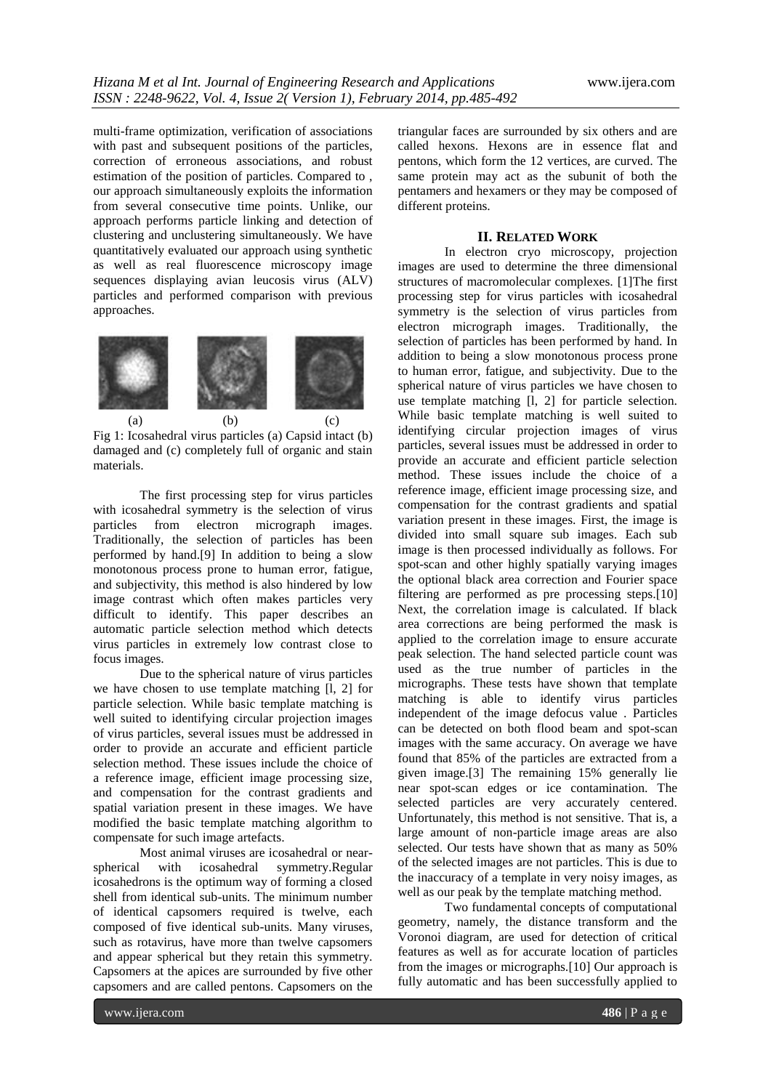multi-frame optimization, verification of associations with past and subsequent positions of the particles, correction of erroneous associations, and robust estimation of the position of particles. Compared to , our approach simultaneously exploits the information from several consecutive time points. Unlike, our approach performs particle linking and detection of clustering and unclustering simultaneously. We have quantitatively evaluated our approach using synthetic as well as real fluorescence microscopy image sequences displaying avian leucosis virus (ALV) particles and performed comparison with previous approaches.



Fig 1: Icosahedral virus particles (a) Capsid intact (b) damaged and (c) completely full of organic and stain materials.

The first processing step for virus particles with icosahedral symmetry is the selection of virus<br>particles from electron micrograph images. from electron micrograph images. Traditionally, the selection of particles has been performed by hand.[9] In addition to being a slow monotonous process prone to human error, fatigue, and subjectivity, this method is also hindered by low image contrast which often makes particles very difficult to identify. This paper describes an automatic particle selection method which detects virus particles in extremely low contrast close to focus images.

Due to the spherical nature of virus particles we have chosen to use template matching [l, 2] for particle selection. While basic template matching is well suited to identifying circular projection images of virus particles, several issues must be addressed in order to provide an accurate and efficient particle selection method. These issues include the choice of a reference image, efficient image processing size, and compensation for the contrast gradients and spatial variation present in these images. We have modified the basic template matching algorithm to compensate for such image artefacts.

Most animal viruses are icosahedral or nearspherical with icosahedral symmetry.Regular icosahedrons is the optimum way of forming a closed shell from identical sub-units. The minimum number of identical capsomers required is twelve, each composed of five identical sub-units. Many viruses, such as rotavirus, have more than twelve capsomers and appear spherical but they retain this symmetry. Capsomers at the apices are surrounded by five other capsomers and are called pentons. Capsomers on the

triangular faces are surrounded by six others and are called hexons. Hexons are in essence flat and pentons, which form the 12 vertices, are curved. The same protein may act as the subunit of both the pentamers and hexamers or they may be composed of different proteins.

# **II. RELATED WORK**

In electron cryo microscopy, projection images are used to determine the three dimensional structures of macromolecular complexes. [1]The first processing step for virus particles with icosahedral symmetry is the selection of virus particles from electron micrograph images. Traditionally, the selection of particles has been performed by hand. In addition to being a slow monotonous process prone to human error, fatigue, and subjectivity. Due to the spherical nature of virus particles we have chosen to use template matching [1, 2] for particle selection. While basic template matching is well suited to identifying circular projection images of virus particles, several issues must be addressed in order to provide an accurate and efficient particle selection method. These issues include the choice of a reference image, efficient image processing size, and compensation for the contrast gradients and spatial variation present in these images. First, the image is divided into small square sub images. Each sub image is then processed individually as follows. For spot-scan and other highly spatially varying images the optional black area correction and Fourier space filtering are performed as pre processing steps.[10] Next, the correlation image is calculated. If black area corrections are being performed the mask is applied to the correlation image to ensure accurate peak selection. The hand selected particle count was used as the true number of particles in the micrographs. These tests have shown that template matching is able to identify virus particles independent of the image defocus value . Particles can be detected on both flood beam and spot-scan images with the same accuracy. On average we have found that 85% of the particles are extracted from a given image.[3] The remaining 15% generally lie near spot-scan edges or ice contamination. The selected particles are very accurately centered. Unfortunately, this method is not sensitive. That is, a large amount of non-particle image areas are also selected. Our tests have shown that as many as 50% of the selected images are not particles. This is due to the inaccuracy of a template in very noisy images, as well as our peak by the template matching method.

Two fundamental concepts of computational geometry, namely, the distance transform and the Voronoi diagram, are used for detection of critical features as well as for accurate location of particles from the images or micrographs.[10] Our approach is fully automatic and has been successfully applied to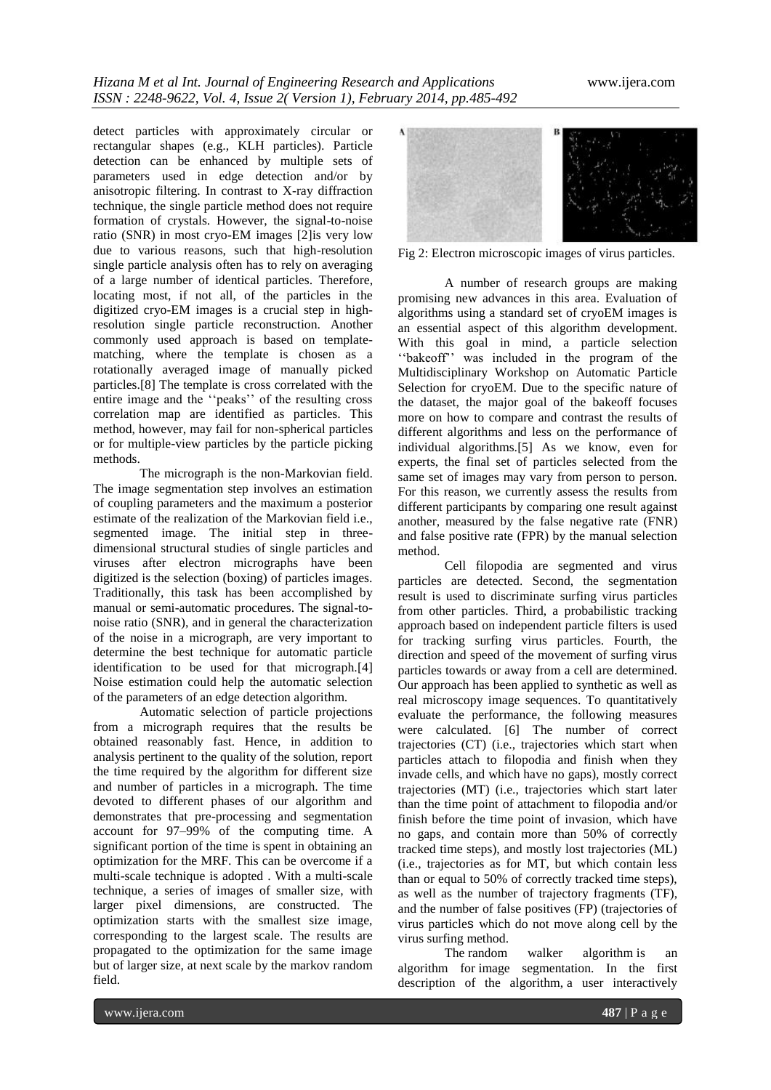detect particles with approximately circular or rectangular shapes (e.g., KLH particles). Particle detection can be enhanced by multiple sets of parameters used in edge detection and/or by anisotropic filtering. In contrast to X-ray diffraction technique, the single particle method does not require formation of crystals. However, the signal-to-noise ratio (SNR) in most cryo-EM images [2]is very low due to various reasons, such that high-resolution single particle analysis often has to rely on averaging of a large number of identical particles. Therefore, locating most, if not all, of the particles in the digitized cryo-EM images is a crucial step in highresolution single particle reconstruction. Another commonly used approach is based on templatematching, where the template is chosen as a rotationally averaged image of manually picked particles.[8] The template is cross correlated with the entire image and the "peaks" of the resulting cross correlation map are identified as particles. This method, however, may fail for non-spherical particles or for multiple-view particles by the particle picking methods.

The micrograph is the non-Markovian field. The image segmentation step involves an estimation of coupling parameters and the maximum a posterior estimate of the realization of the Markovian field i.e., segmented image. The initial step in threedimensional structural studies of single particles and viruses after electron micrographs have been digitized is the selection (boxing) of particles images. Traditionally, this task has been accomplished by manual or semi-automatic procedures. The signal-tonoise ratio (SNR), and in general the characterization of the noise in a micrograph, are very important to determine the best technique for automatic particle identification to be used for that micrograph.[4] Noise estimation could help the automatic selection of the parameters of an edge detection algorithm.

Automatic selection of particle projections from a micrograph requires that the results be obtained reasonably fast. Hence, in addition to analysis pertinent to the quality of the solution, report the time required by the algorithm for different size and number of particles in a micrograph. The time devoted to different phases of our algorithm and demonstrates that pre-processing and segmentation account for 97–99% of the computing time. A significant portion of the time is spent in obtaining an optimization for the MRF. This can be overcome if a multi-scale technique is adopted . With a multi-scale technique, a series of images of smaller size, with larger pixel dimensions, are constructed. The optimization starts with the smallest size image, corresponding to the largest scale. The results are propagated to the optimization for the same image but of larger size, at next scale by the markov random field.



Fig 2: Electron microscopic images of virus particles.

A number of research groups are making promising new advances in this area. Evaluation of algorithms using a standard set of cryoEM images is an essential aspect of this algorithm development. With this goal in mind, a particle selection "bakeoff" was included in the program of the Multidisciplinary Workshop on Automatic Particle Selection for cryoEM. Due to the specific nature of the dataset, the major goal of the bakeoff focuses more on how to compare and contrast the results of different algorithms and less on the performance of individual algorithms.[5] As we know, even for experts, the final set of particles selected from the same set of images may vary from person to person. For this reason, we currently assess the results from different participants by comparing one result against another, measured by the false negative rate (FNR) and false positive rate (FPR) by the manual selection method.

Cell filopodia are segmented and virus particles are detected. Second, the segmentation result is used to discriminate surfing virus particles from other particles. Third, a probabilistic tracking approach based on independent particle filters is used for tracking surfing virus particles. Fourth, the direction and speed of the movement of surfing virus particles towards or away from a cell are determined. Our approach has been applied to synthetic as well as real microscopy image sequences. To quantitatively evaluate the performance, the following measures were calculated. [6] The number of correct trajectories (CT) (i.e., trajectories which start when particles attach to filopodia and finish when they invade cells, and which have no gaps), mostly correct trajectories (MT) (i.e., trajectories which start later than the time point of attachment to filopodia and/or finish before the time point of invasion, which have no gaps, and contain more than 50% of correctly tracked time steps), and mostly lost trajectories (ML) (i.e., trajectories as for MT, but which contain less than or equal to 50% of correctly tracked time steps), as well as the number of trajectory fragments (TF), and the number of false positives (FP) (trajectories of virus particles which do not move along cell by the virus surfing method.

The random walker algorithm is an algorithm for image segmentation. In the first description of the algorithm, a user interactively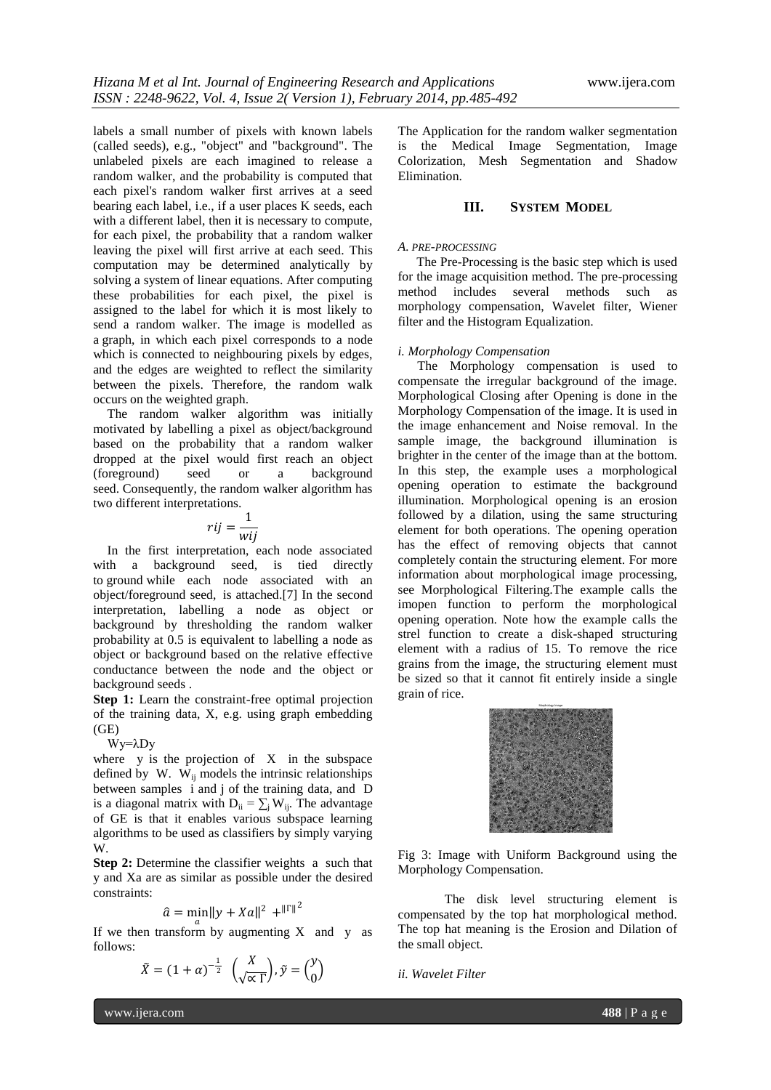labels a small number of pixels with known labels (called seeds), e.g., "object" and "background". The unlabeled pixels are each imagined to release a random walker, and the probability is computed that each pixel's random walker first arrives at a seed bearing each label, i.e., if a user places K seeds, each with a different label, then it is necessary to compute, for each pixel, the probability that a random walker leaving the pixel will first arrive at each seed. This computation may be determined analytically by solving a system of linear equations. After computing these probabilities for each pixel, the pixel is assigned to the label for which it is most likely to send a random walker. The image is modelled as a graph, in which each pixel corresponds to a node which is connected to neighbouring pixels by edges, and the edges are weighted to reflect the similarity between the pixels. Therefore, the random walk occurs on the weighted graph.

The random walker algorithm was initially motivated by labelling a pixel as object/background based on the probability that a random walker dropped at the pixel would first reach an object (foreground) seed or a background seed. Consequently, the random walker algorithm has two different interpretations.

$$
rij = \frac{1}{wij}
$$

In the first interpretation, each node associated with a background seed, is tied directly to ground while each node associated with an object/foreground seed, is attached.[7] In the second interpretation, labelling a node as object or background by thresholding the random walker probability at 0.5 is equivalent to labelling a node as object or background based on the relative effective conductance between the node and the object or background seeds .

**Step 1:** Learn the constraint-free optimal projection of the training data, X, e.g. using graph embedding (GE)

### Wy=λDy

where  $y$  is the projection of  $X$  in the subspace defined by W.  $W_{ii}$  models the intrinsic relationships between samples i and j of the training data, and D is a diagonal matrix with  $D_{ii} = \sum_{i} W_{ii}$ . The advantage of GE is that it enables various subspace learning algorithms to be used as classifiers by simply varying W.

**Step 2:** Determine the classifier weights a such that y and Xa are as similar as possible under the desired constraints:

$$
\hat{a} = \min \|y + Xa\|^2 + \|F\|^2
$$

If we then transform by augmenting X and y as follows:

$$
\tilde{X} = (1 + \alpha)^{-\frac{1}{2}} \left( \frac{X}{\sqrt{\alpha} \Gamma} \right), \tilde{y} = \begin{pmatrix} y \\ 0 \end{pmatrix}
$$

The Application for the random walker segmentation is the Medical Image Segmentation, Image Colorization, Mesh Segmentation and Shadow Elimination.

## **III. SYSTEM MODEL**

## *A. PRE-PROCESSING*

The Pre-Processing is the basic step which is used for the image acquisition method. The pre-processing method includes several methods such as morphology compensation, Wavelet filter, Wiener filter and the Histogram Equalization.

### *i. Morphology Compensation*

The Morphology compensation is used to compensate the irregular background of the image. Morphological Closing after Opening is done in the Morphology Compensation of the image. It is used in the image enhancement and Noise removal. In the sample image, the background illumination is brighter in the center of the image than at the bottom. In this step, the example uses a morphological opening operation to estimate the background illumination. Morphological opening is an erosion followed by a dilation, using the same structuring element for both operations. The opening operation has the effect of removing objects that cannot completely contain the structuring element. For more information about morphological image processing, see Morphological Filtering.The example calls the imopen function to perform the morphological opening operation. Note how the example calls the strel function to create a disk-shaped structuring element with a radius of 15. To remove the rice grains from the image, the structuring element must be sized so that it cannot fit entirely inside a single grain of rice.



Fig 3: Image with Uniform Background using the Morphology Compensation.

The disk level structuring element is compensated by the top hat morphological method. The top hat meaning is the Erosion and Dilation of the small object.

*ii. Wavelet Filter*

www.ijera.com **488** | P a g e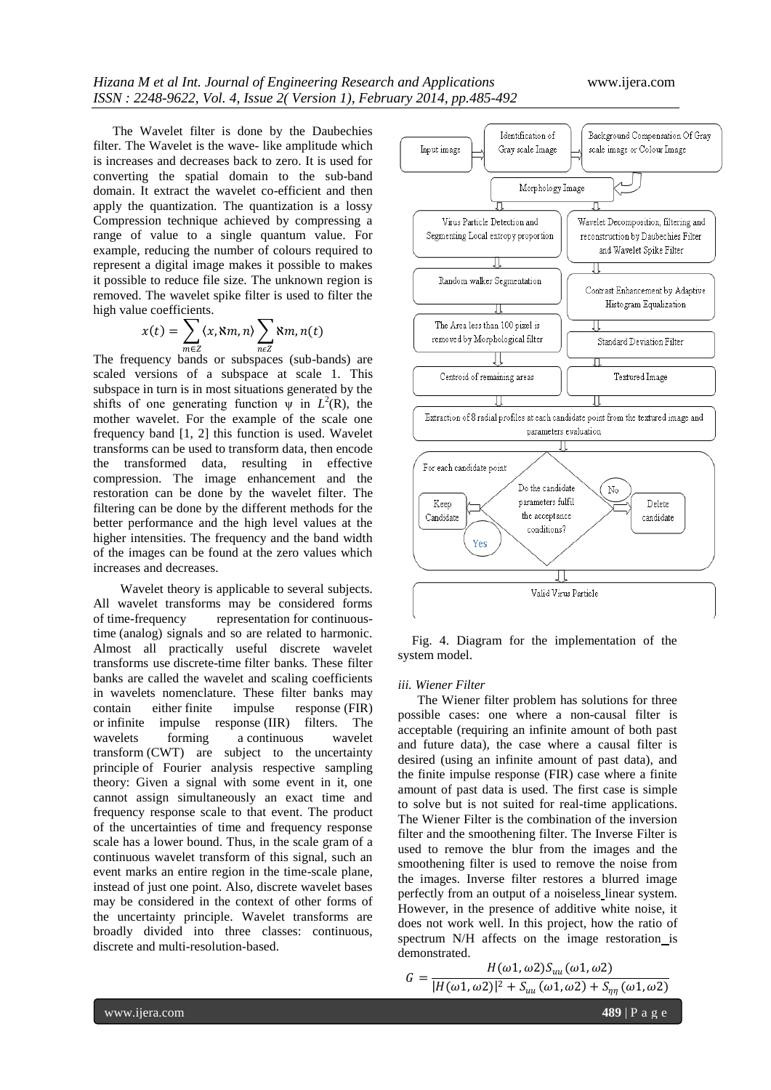The Wavelet filter is done by the Daubechies filter. The Wavelet is the wave- like amplitude which is increases and decreases back to zero. It is used for converting the spatial domain to the sub-band domain. It extract the wavelet co-efficient and then apply the quantization. The quantization is a lossy Compression technique achieved by compressing a range of value to a single quantum value. For example, reducing the number of colours required to represent a digital image makes it possible to makes it possible to reduce file size. The unknown region is removed. The wavelet spike filter is used to filter the high value coefficients.

$$
x(t) = \sum_{m \in \mathbb{Z}} \langle x, \mathbf{X}m, n \rangle \sum_{n \in \mathbb{Z}} \mathbf{X}m, n(t)
$$

 $mez$   $nez$   $nez$   $nez$   $true$  (sub-bands) are scaled versions of a subspace at scale 1. This subspace in turn is in most situations generated by the shifts of one generating function  $\psi$  in  $L^2(\mathbb{R})$ , the mother wavelet. For the example of the scale one frequency band [1, 2] this function is used. Wavelet transforms can be used to transform data, then encode the transformed data, resulting in effective compression. The image enhancement and the restoration can be done by the wavelet filter. The filtering can be done by the different methods for the better performance and the high level values at the higher intensities. The frequency and the band width of the images can be found at the zero values which increases and decreases.

 Wavelet theory is applicable to several subjects. All wavelet transforms may be considered forms of time-frequency representation for continuoustime (analog) signals and so are related to harmonic. Almost all practically useful discrete wavelet transforms use discrete-time filter banks. These filter banks are called the wavelet and scaling coefficients in wavelets nomenclature. These filter banks may contain either finite impulse response (FIR) or infinite impulse response (IIR) filters. The wavelets forming a continuous wavelet transform (CWT) are subject to the uncertainty principle of Fourier analysis respective sampling theory: Given a signal with some event in it, one cannot assign simultaneously an exact time and frequency response scale to that event. The product of the uncertainties of time and frequency response scale has a lower bound. Thus, in the scale gram of a continuous wavelet transform of this signal, such an event marks an entire region in the time-scale plane, instead of just one point. Also, discrete wavelet bases may be considered in the context of other forms of the uncertainty principle. Wavelet transforms are broadly divided into three classes: continuous, discrete and multi-resolution-based.



Fig. 4. Diagram for the implementation of the system model.

#### *iii. Wiener Filter*

The Wiener filter problem has solutions for three possible cases: one where a non-causal filter is acceptable (requiring an infinite amount of both past and future data), the case where a causal filter is desired (using an infinite amount of past data), and the finite impulse response (FIR) case where a finite amount of past data is used. The first case is simple to solve but is not suited for real-time applications. The Wiener Filter is the combination of the inversion filter and the smoothening filter. The Inverse Filter is used to remove the blur from the images and the smoothening filter is used to remove the noise from the images. Inverse filter restores a blurred image perfectly from an output of a noiseless linear system. However, in the presence of additive white noise, it does not work well. In this project, how the ratio of spectrum N/H affects on the image restoration is demonstrated.

$$
G = \frac{H(\omega_1, \omega_2)S_{uu}(\omega_1, \omega_2)}{|H(\omega_1, \omega_2)|^2 + S_{uu}(\omega_1, \omega_2) + S_{\eta\eta}(\omega_1)}
$$

 $\omega$ 2)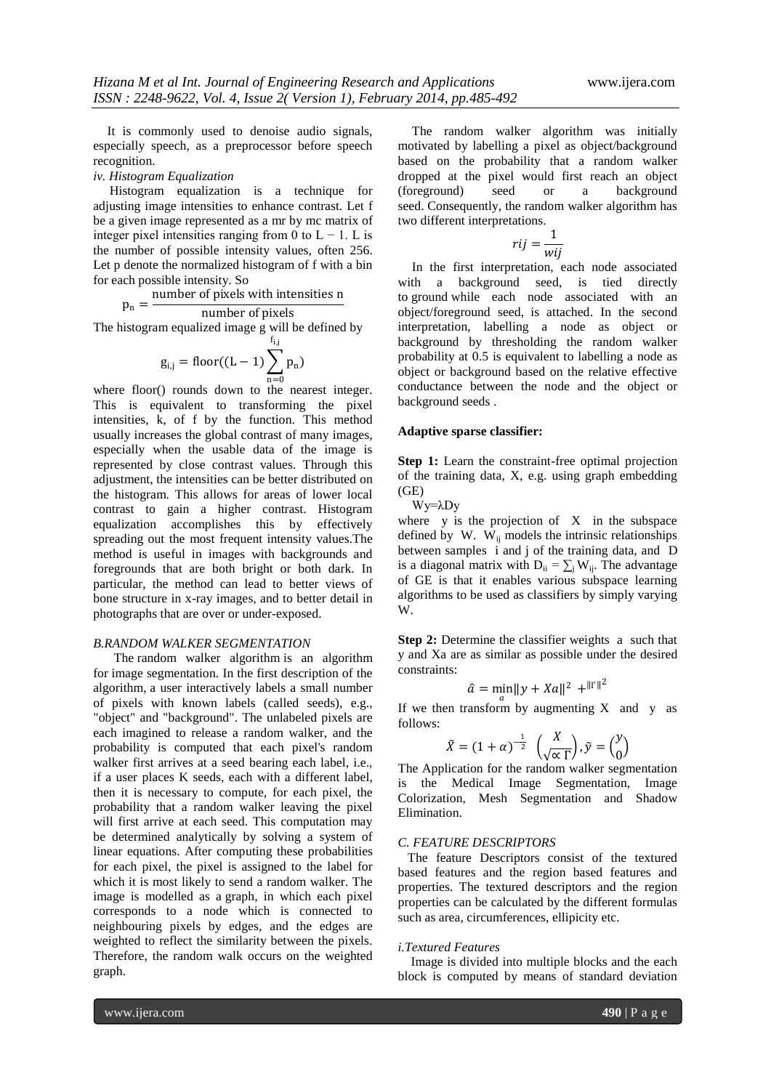It is commonly used to denoise audio signals, especially speech, as a preprocessor before speech recognition.

## *iv. Histogram Equalization*

Histogram equalization is a technique for adjusting image intensities to enhance contrast. Let f be a given image represented as a mr by mc matrix of integer pixel intensities ranging from 0 to  $L - 1$ . L is the number of possible intensity values, often 256. Let p denote the normalized histogram of f with a bin for each possible intensity. So

$$
p_n = \frac{\text{number of pixels with intensities n}}{\text{number of pixels}}
$$

The histogram equalized image g will be defined by

$$
g_{i,j} = floor((L-1)\sum_{n=0}^{f_{i,j}} p_n)
$$

where floor() rounds down to the nearest integer. This is equivalent to transforming the pixel intensities, k, of f by the function. This method usually increases the global contrast of many images, especially when the usable data of the image is represented by close contrast values. Through this adjustment, the intensities can be better distributed on the histogram. This allows for areas of lower local contrast to gain a higher contrast. Histogram equalization accomplishes this by effectively spreading out the most frequent intensity values.The method is useful in images with backgrounds and foregrounds that are both bright or both dark. In particular, the method can lead to better views of bone structure in x-ray images, and to better detail in photographs that are over or under-exposed.

#### *B.RANDOM WALKER SEGMENTATION*

 The random walker algorithm is an algorithm for image segmentation. In the first description of the algorithm, a user interactively labels a small number of pixels with known labels (called seeds), e.g., "object" and "background". The unlabeled pixels are each imagined to release a random walker, and the probability is computed that each pixel's random walker first arrives at a seed bearing each label, i.e., if a user places K seeds, each with a different label, then it is necessary to compute, for each pixel, the probability that a random walker leaving the pixel will first arrive at each seed. This computation may be determined analytically by solving a system of linear equations. After computing these probabilities for each pixel, the pixel is assigned to the label for which it is most likely to send a random walker. The image is modelled as a graph, in which each pixel corresponds to a node which is connected to neighbouring pixels by edges, and the edges are weighted to reflect the similarity between the pixels. Therefore, the random walk occurs on the weighted graph.

The random walker algorithm was initially motivated by labelling a pixel as object/background based on the probability that a random walker dropped at the pixel would first reach an object (foreground) seed or a background seed. Consequently, the random walker algorithm has two different interpretations.

$$
rij = \frac{1}{wij}
$$

In the first interpretation, each node associated with a background seed, is tied directly to ground while each node associated with an object/foreground seed, is attached. In the second interpretation, labelling a node as object or background by thresholding the random walker probability at 0.5 is equivalent to labelling a node as object or background based on the relative effective conductance between the node and the object or background seeds .

#### **Adaptive sparse classifier:**

**Step 1:** Learn the constraint-free optimal projection of the training data, X, e.g. using graph embedding (GE)

Wy=λDy

where  $y$  is the projection of  $X$  in the subspace defined by W.  $\dot{W}_{ii}$  models the intrinsic relationships between samples i and j of the training data, and D is a diagonal matrix with  $D_{ii} = \sum_j W_{ij}$ . The advantage of GE is that it enables various subspace learning algorithms to be used as classifiers by simply varying W.

**Step 2:** Determine the classifier weights a such that y and Xa are as similar as possible under the desired constraints:

$$
\hat{a} = \min_{a} ||y + Xa||^2 + ||\Gamma||^2
$$

If we then transform by augmenting  $X$  and  $y$  as follows:

$$
\tilde{X} = (1 + \alpha)^{-\frac{1}{2}} \left(\frac{X}{\sqrt{\alpha} \Gamma}\right), \tilde{y} = \binom{y}{0}
$$

The Application for the random walker segmentation is the Medical Image Segmentation, Image Colorization, Mesh Segmentation and Shadow Elimination.

#### *C. FEATURE DESCRIPTORS*

 The feature Descriptors consist of the textured based features and the region based features and properties. The textured descriptors and the region properties can be calculated by the different formulas such as area, circumferences, ellipicity etc.

#### *i.Textured Features*

 Image is divided into multiple blocks and the each block is computed by means of standard deviation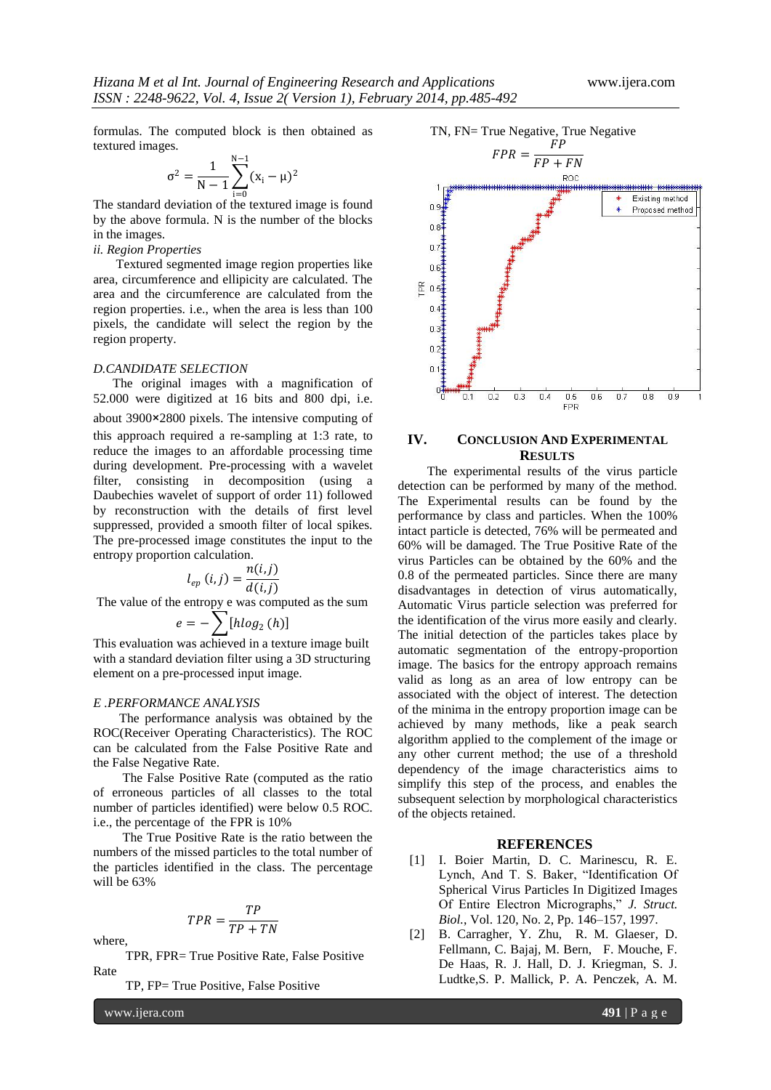formulas. The computed block is then obtained as textured images. N−1

$$
\sigma^2 = \frac{1}{N-1} \sum_{i=0}^{N-1} (x_i - \mu)^2
$$

The standard deviation of the textured image is found by the above formula. N is the number of the blocks in the images.

# *ii. Region Properties*

 Textured segmented image region properties like area, circumference and ellipicity are calculated. The area and the circumference are calculated from the region properties. i.e., when the area is less than 100 pixels, the candidate will select the region by the region property.

#### *D.CANDIDATE SELECTION*

 The original images with a magnification of 52.000 were digitized at 16 bits and 800 dpi, i.e. about 3900×2800 pixels. The intensive computing of this approach required a re-sampling at 1:3 rate, to reduce the images to an affordable processing time during development. Pre-processing with a wavelet filter, consisting in decomposition (using a Daubechies wavelet of support of order 11) followed by reconstruction with the details of first level suppressed, provided a smooth filter of local spikes. The pre-processed image constitutes the input to the entropy proportion calculation.

$$
l_{ep}(i,j) = \frac{n(i,j)}{d(i,j)}
$$

The value of the entropy e was computed as the sum

$$
e = -\sum_{1} [h \log_2(h)]
$$

This evaluation was achieved in a texture image built with a standard deviation filter using a 3D structuring element on a pre-processed input image.

## *E .PERFORMANCE ANALYSIS*

The performance analysis was obtained by the ROC(Receiver Operating Characteristics). The ROC can be calculated from the False Positive Rate and the False Negative Rate.

 The False Positive Rate (computed as the ratio of erroneous particles of all classes to the total number of particles identified) were below 0.5 ROC. i.e., the percentage of the FPR is 10%

 The True Positive Rate is the ratio between the numbers of the missed particles to the total number of the particles identified in the class. The percentage will be 63%

$$
TPR = \frac{TP}{TP + TN}
$$

where,

 TPR, FPR= True Positive Rate, False Positive Rate

TP, FP= True Positive, False Positive

www.ijera.com **491** | P a g e





# **IV. CONCLUSION AND EXPERIMENTAL RESULTS**

The experimental results of the virus particle detection can be performed by many of the method. The Experimental results can be found by the performance by class and particles. When the 100% intact particle is detected, 76% will be permeated and 60% will be damaged. The True Positive Rate of the virus Particles can be obtained by the 60% and the 0.8 of the permeated particles. Since there are many disadvantages in detection of virus automatically, Automatic Virus particle selection was preferred for the identification of the virus more easily and clearly. The initial detection of the particles takes place by automatic segmentation of the entropy-proportion image. The basics for the entropy approach remains valid as long as an area of low entropy can be associated with the object of interest. The detection of the minima in the entropy proportion image can be achieved by many methods, like a peak search algorithm applied to the complement of the image or any other current method; the use of a threshold dependency of the image characteristics aims to simplify this step of the process, and enables the subsequent selection by morphological characteristics of the objects retained.

#### **REFERENCES**

- [1] I. Boier Martin, D. C. Marinescu, R. E. Lynch, And T. S. Baker, "Identification Of Spherical Virus Particles In Digitized Images Of Entire Electron Micrographs." *J. Struct. Biol.*, Vol. 120, No. 2, Pp. 146–157, 1997.
- [2] B. Carragher, Y. Zhu, R. M. Glaeser. D. Fellmann, C. Bajaj, M. Bern, F. Mouche, F. De Haas, R. J. Hall, D. J. Kriegman, S. J. Ludtke,S. P. Mallick, P. A. Penczek, A. M.